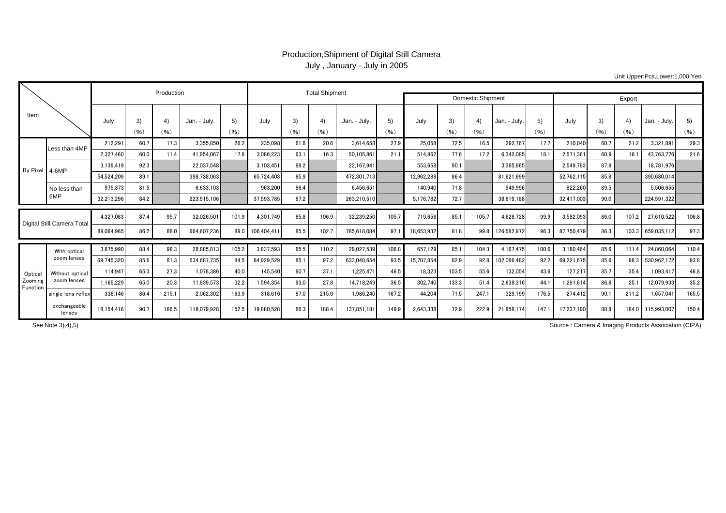## Production,Shipment of Digital Still Camera July , January - July in 2005

Unit Upper:Pcs,Lower:1,000 Yen

|                                |                                |            |            | Production |             |            |            | <b>Total Shipment</b> |            |              | Domestic Shipment |            |            |            |              |            |            |            |            |              |            |
|--------------------------------|--------------------------------|------------|------------|------------|-------------|------------|------------|-----------------------|------------|--------------|-------------------|------------|------------|------------|--------------|------------|------------|------------|------------|--------------|------------|
|                                |                                |            |            |            |             |            |            |                       |            |              |                   | Export     |            |            |              |            |            |            |            |              |            |
| Item                           |                                | July       | 3)<br>(96) | 4)<br>(96) | Jan. - July | 5)<br>(96) | July       | 3)<br>(96)            | 4)<br>(96) | Jan. - July. | 5)<br>(96)        | July       | 3)<br>(96) | 4)<br>(96) | Jan. - July. | 5)<br>(96) | July       | 3)<br>(96) | 4)<br>(96) | Jan. - July. | 5)<br>(96) |
| By Pixel 4-6MP                 | Less than 4MP                  | 212.29     | 60.7       | 17.3       | 3.355.850   | 26.2       | 235.098    | 61.8                  | 20.6       | 3.614.658    | 27.9              | 25.058     | 72.5       | 16.5       | 292.767      | 17.7       | 210.040    | 60.7       | 21.2       | 3.321.891    | 29.3       |
|                                |                                | 2,327,460  | 60.0       | 11.4       | 41.954.067  | 17.8       | 3,086,223  | 63.                   | 16.3       | 50,105,861   | 21.1              | 514.862    | 77.6       | 17.2       | 6,342,085    | 18.        | 2,571,361  | 60.9       | 16.1       | 43,763,776   | 21.6       |
|                                |                                | 3,139,419  | 92.3       |            | 22.037.548  |            | 3,103,451  | 88.2                  |            | 22.167.941   |                   | 553.658    | 90.1       |            | 3,385,965    |            | 2.549.793  | 87.8       |            | 18,781,976   |            |
|                                |                                | 54,524,209 | 89.1       |            | 398,738,063 |            | 65,724,403 | 85.9                  |            | 472,301,713  |                   | 12,962,288 | 86.4       |            | 81,621,699   |            | 52,762,115 | 85.8       |            | 390,680,014  |            |
|                                | No less than<br>6MP            | 975,373    | 81.5       |            | 6.633.103   |            | 963,200    | 86.4                  |            | 6.456.651    |                   | 140.940    | 71.8       |            | 949,996      |            | 822.260    | 89.5       |            | 5,506,655    |            |
|                                |                                | 32,213,296 | 84.2       |            | 223,915,106 |            | 37,593,785 | 87.2                  |            | 263.210.510  |                   | 5,176,782  | 72.7       |            | 38,619,188   |            | 32,417,003 | 90.0       |            | 224,591,322  |            |
| Digital Still Camera Total     |                                | 4,327,083  | 87.4       | 95.7       | 32,026,501  | 101.9      | 4,301,749  | 85.8                  | 106.9      | 32,239,250   | 105.7             | 719,656    | 85.1       | 105.7      | 4,628,728    | 99.9       | 3,582,093  | 86.0       | 107.2      | 27,610,522   | 106.8      |
|                                |                                | 89,064,965 | 86.2       | 88.0       | 664.607.236 | 89.0       | 106,404,41 | 85.5                  | 102.7      | 785.618.084  | 97.1              | 18,653,932 | 81.8       | 99.8       | 126,582,972  | 96.3       | 87.750.479 | 86.3       | 103.3      | 659,035,112  | 97.3       |
|                                |                                |            |            |            |             |            |            |                       |            |              |                   |            |            |            |              |            |            |            |            |              |            |
| Optical<br>Zooming<br>Function | With optical<br>zoom lenses    | 3,875,990  | 88.4       | 98.3       | 28.885.813  | 105.2      | 3,837,593  | 85.5                  | 110.2      | 29.027.539   | 108.8             | 657.129    | 85.1       | 104.3      | 4,167,475    | 100.6      | 3.180.464  | 85.6       | 111.4      | 24,860,064   | 110.4      |
|                                |                                | 69.745.320 | 85.6       | 81.3       | 534.687.735 | 84.5       | 84,929,529 | 85.1                  | 97.2       | 633.048.654  | 93.5              | 15.707.854 | 82.9       | 92.8       | 102,086,482  | 92.2       | 69.221.675 | 85.6       | 98.3       | 530,962,172  | 93.8       |
|                                | Without optical<br>zoom lenses | 114.947    | 65.3       | 27.3       | 1.078.386   | 40.0       | 145,540    | 90.7                  | 37.1       | 1.225.471    | 46.5              | 18.323     | 153.5      | 55.6       | 132.054      | 43.6       | 127.217    | 85.7       | 35.4       | 1.093.417    | 46.8       |
|                                |                                | 1,165,229  | 65.0       | 20.3       | 11.839.573  | 32.2       | 1,594,354  | 93.0                  | 27.8       | 14.718.249   | 36.5              | 302.740    | 133.3      | 51.4       | 2,638,316    | 44.        | 1.291.614  | 86.8       | 25.1       | 12,079,933   | 35.2       |
|                                | single lens reflex             | 336.146    | 86.4       | 215.1      | 2.062.302   | 163.9      | 318,616    | 87.0                  | 215.6      | 1,986,240    | 167.2             | 44.204     | 71.5       | 247.1      | 329,199      | 176.5      | 274.412    | 90.1       | 211.2      | 1.657.041    | 165.5      |
|                                | exchangeable<br>lenses         | 18,154,416 | 90.7       | 186.5      | 118,079,928 | 152.5      | 19,880,528 | 86.3                  | 188.4      | 137.851.181  | 149.9             | 2,643,338  | 72.9       | 222.9      | 21,858,174   | 147.       | 17.237.190 | 88.8       | 184.0      | 115,993,007  | 150.4      |

See Note 3),4),5)

Source : Camera & Imaging Products Association (CIPA)